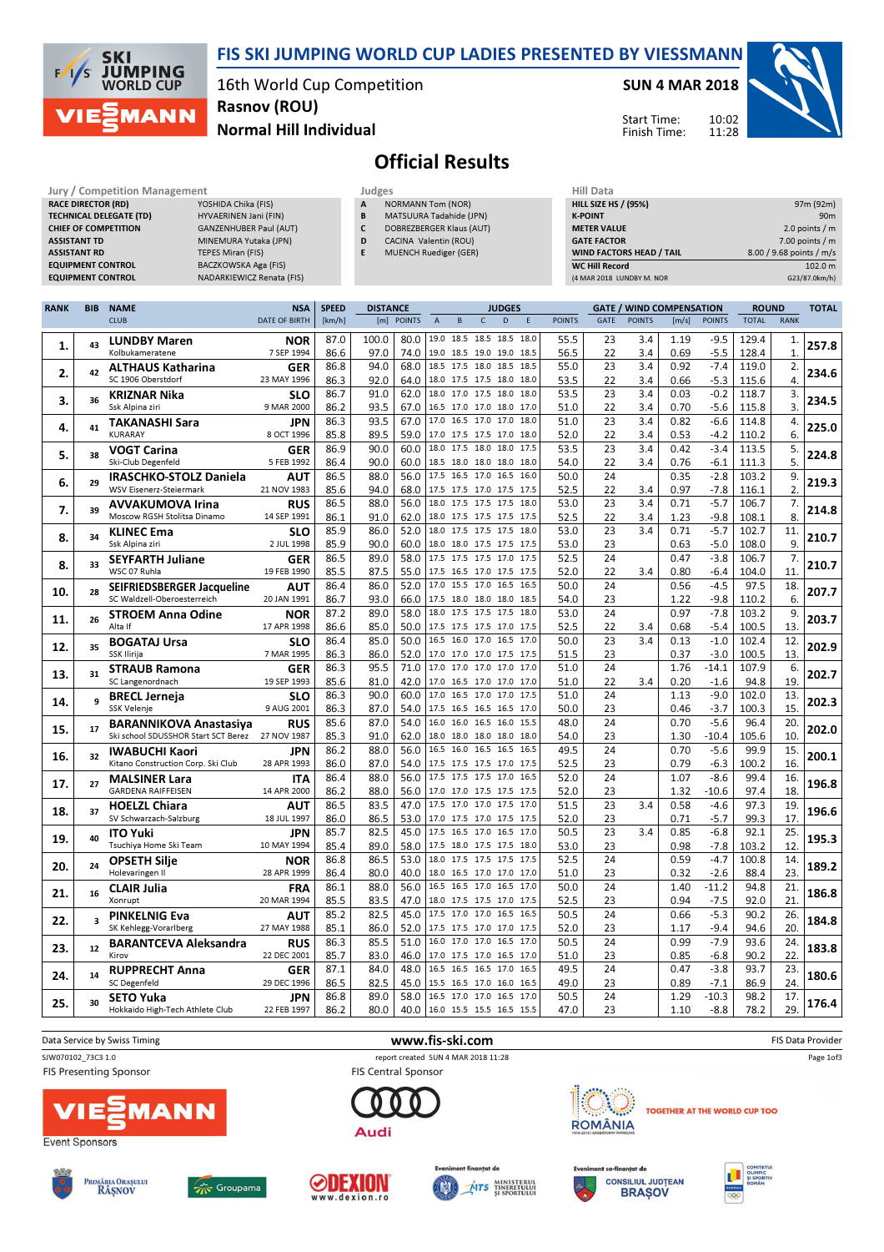

FIS SKI JUMPING WORLD CUP LADIES PRESENTED BY VIESSMANN

16th World Cup Competition Normal Hill Individual Rasnov (ROU)

SUN 4 MAR 2018

Start Time: Finish Time:



## Official Results

| Jury / Competition Management  |                                  |              | Judges                         |                    |  |  |  |  |
|--------------------------------|----------------------------------|--------------|--------------------------------|--------------------|--|--|--|--|
| <b>RACE DIRECTOR (RD)</b>      | YOSHIDA Chika (FIS)              | $\mathbf{A}$ | <b>NORMANN Tom (NOR)</b>       | <b>HILL SIZE H</b> |  |  |  |  |
| <b>TECHNICAL DELEGATE (TD)</b> | HYVAERINEN Jani (FIN)            | B            | <b>MATSUURA Tadahide (JPN)</b> | <b>K-POINT</b>     |  |  |  |  |
| <b>CHIEF OF COMPETITION</b>    | <b>GANZENHUBER Paul (AUT)</b>    |              | DOBREZBERGER Klaus (AUT)       | <b>METER VAI</b>   |  |  |  |  |
| <b>ASSISTANT TD</b>            | MINEMURA Yutaka (JPN)            | D            | CACINA Valentin (ROU)          | <b>GATE FACT</b>   |  |  |  |  |
| <b>ASSISTANT RD</b>            | <b>TEPES Miran (FIS)</b>         |              | <b>MUENCH Ruediger (GER)</b>   | <b>WIND FACT</b>   |  |  |  |  |
| <b>EQUIPMENT CONTROL</b>       | <b>BACZKOWSKA Aga (FIS)</b>      |              |                                | <b>WC Hill Reg</b> |  |  |  |  |
| <b>EQUIPMENT CONTROL</b>       | <b>NADARKIEWICZ Renata (FIS)</b> |              |                                | (4 MAR 2018)       |  |  |  |  |

- DOBREZBERGER Klaus (AUT)
- CACINA Valentin (ROU)
	- **MUENCH Ruediger (GER)**

| Hill Data                       |                          |
|---------------------------------|--------------------------|
| <b>HILL SIZE HS / (95%)</b>     | 97m (92m)                |
| <b>K-POINT</b>                  | 90 <sub>m</sub>          |
| <b>METER VALUE</b>              | 2.0 points $/m$          |
| <b>GATE FACTOR</b>              | $7.00$ points / m        |
| <b>WIND FACTORS HEAD / TAIL</b> | 8.00 / 9.68 points / m/s |
| <b>WC Hill Record</b>           | 102.0 m                  |
| (4 MAR 2018 LUNDBY M. NOR       | G23/87.0km/h)            |

10:02 11:28

| <b>CLUB</b><br><b>DATE OF BIRTH</b><br><b>POINTS</b><br>D<br><b>POINTS</b><br><b>POINTS</b><br><b>RANK</b><br>[km/h]<br>[m]<br>$\overline{A}$<br>B<br>$\mathsf{C}$<br><b>POINTS</b><br>GATE<br>[m/s]<br><b>TOTAL</b><br>19.0 18.5 18.5 18.5 18.0<br>100.0<br>80.0<br>55.5<br><b>LUNDBY Maren</b><br>87.0<br>23<br>3.4<br>1.19<br>$-9.5$<br>129.4<br><b>NOR</b><br>1.<br>257.8<br>43<br>1.<br>86.6<br>$-5.5$<br>Kolbukameratene<br>7 SEP 1994<br>97.0<br>74.0<br>19.0 18.5 19.0 19.0 18.5<br>56.5<br>22<br>3.4<br>0.69<br>128.4<br>$\mathbf{1}$<br>18.5 17.5 18.0 18.5 18.5<br>23<br>3.4<br>86.8<br>94.0<br>68.0<br>55.0<br>0.92<br>$-7.4$<br>119.0<br>2.<br><b>ALTHAUS Katharina</b><br>GER<br>2.<br>234.6<br>42<br>SC 1906 Oberstdorf<br>18.0 17.5 17.5 18.0 18.0<br>23 MAY 1996<br>86.3<br>92.0<br>64.0<br>53.5<br>22<br>3.4<br>0.66<br>$-5.3$<br>115.6<br>4.<br>18.0<br>17.0 17.5 18.0 18.0<br>86.7<br>91.0<br>62.0<br>53.5<br>23<br>3.4<br>0.03<br>$-0.2$<br>118.7<br>3.<br><b>SLO</b><br><b>KRIZNAR Nika</b><br>234.5<br>3.<br>36<br>Ssk Alpina ziri<br>9 MAR 2000<br>16.5 17.0 17.0 18.0 17.0<br>3.<br>86.2<br>93.5<br>67.0<br>51.0<br>22<br>3.4<br>0.70<br>-5.6<br>115.8<br>93.5<br>67.0<br>17.0 16.5 17.0 17.0 18.0<br>23<br>3.4<br>0.82<br>4.<br>86.3<br>51.0<br>$-6.6$<br>114.8<br><b>JPN</b><br><b>TAKANASHI Sara</b><br>225.0<br>4.<br>41<br>6.<br>8 OCT 1996<br>85.8<br>89.5<br>59.0<br>52.0<br>22<br>3.4<br>0.53<br>$-4.2$<br>KURARAY<br>17.0 17.5 17.5 17.0 18.0<br>110.2<br>23<br>86.9<br>90.0<br>60.0<br>18.0 17.5 18.0 18.0 17.5<br>53.5<br>3.4<br>0.42<br>$-3.4$<br>113.5<br>5.<br><b>VOGT Carina</b><br><b>GER</b><br>5.<br>224.8<br>38<br>90.0<br>60.0<br>5.<br>Ski-Club Degenfeld<br>5 FEB 1992<br>86.4<br>18.5 18.0 18.0 18.0 18.0<br>54.0<br>22<br>3.4<br>0.76<br>$-6.1$<br>111.3<br>86.5<br>88.0<br>56.0<br>17.5 16.5 17.0 16.5 16.0<br>50.0<br>24<br>$-2.8$<br>9.<br>0.35<br>103.2<br>IRASCHKO-STOLZ Daniela<br>AUT<br>6.<br>29<br>$\overline{2}$<br><b>WSV Eisenerz-Steiermark</b><br>21 NOV 1983<br>85.6<br>94.0<br>68.0<br>17.5 17.5 17.0 17.5 17.5<br>52.5<br>22<br>0.97<br>$-7.8$<br>116.1<br>3.4<br>$-5.7$<br>86.5<br>88.0<br>56.0<br>18.0 17.5 17.5 17.5 18.0<br>53.0<br>23<br>3.4<br>0.71<br>106.7<br>7.<br><b>RUS</b><br><b>AVVAKUMOVA Irina</b><br>7.<br>39<br>8.<br>Moscow RGSH Stolitsa Dinamo<br>86.1<br>91.0<br>62.0<br>52.5<br>22<br>1.23<br>$-9.8$<br>108.1<br>14 SEP 1991<br>18.0 17.5 17.5 17.5 17.5<br>3.4<br>52.0<br>18.0<br>17.5 17.5 17.5 18.0<br>53.0<br>23<br>3.4<br>85.9<br>86.0<br>0.71<br>$-5.7$<br>102.7<br>11.<br><b>KLINEC Ema</b><br><b>SLO</b><br>8.<br>34<br>60.0<br>9.<br>Ssk Alpina ziri<br>2 JUL 1998<br>85.9<br>90.0<br>18.0 18.0 17.5 17.5 17.5<br>53.0<br>23<br>0.63<br>$-5.0$<br>108.0<br>17.5 17.5 17.5 17.0 17.5<br>58.0<br>52.5<br>24<br>7.<br>86.5<br>89.0<br>0.47<br>$-3.8$<br>106.7<br><b>SEYFARTH Juliane</b><br>GER<br>8.<br>33<br>WSC 07 Ruhla<br>19 FEB 1990<br>85.5<br>87.5<br>55.0<br>17.5 16.5 17.0 17.5 17.5<br>52.0<br>22<br>0.80<br>$-6.4$<br>104.0<br>11.<br>3.4<br>15.5 17.0 16.5 16.5<br>86.0<br>17.0<br>50.0<br>24<br>$-4.5$<br>97.5<br>18.<br>86.4<br>52.0<br>0.56<br><b>SEIFRIEDSBERGER Jacqueline</b><br><b>AUT</b><br>207.7<br>10.<br>28<br>SC Waldzell-Oberoesterreich<br>20 JAN 1991<br>93.0<br>23<br>6.<br>86.7<br>66.0<br>17.5 18.0 18.0 18.0 18.5<br>1.22<br>$-9.8$<br>54.0<br>110.2<br>89.0<br>17.5 17.5 17.5<br>$-7.8$<br>9.<br>87.2<br>58.0<br>18.0<br>18.0<br>53.0<br>24<br>0.97<br>103.2<br><b>STROEM Anna Odine</b><br><b>NOR</b><br>203.7<br>26<br>11.<br>86.6<br>85.0<br>50.0<br>22<br>$-5.4$<br>100.5<br>13.<br>17 APR 1998<br>17.5 17.5 17.5 17.0 17.5<br>52.5<br>3.4<br>0.68<br>Alta If<br>85.0<br>50.0<br>16.5 16.0 17.0 16.5 17.0<br>50.0<br>23<br>3.4<br>$-1.0$<br>102.4<br>86.4<br>0.13<br>12.<br><b>BOGATAJ Ursa</b><br><b>SLO</b><br>35<br>202.9<br>12.<br><b>SSK Ilirija</b><br>86.3<br>86.0<br>52.0<br>51.5<br>23<br>0.37<br>$-3.0$<br>100.5<br>13.<br>7 MAR 1995<br>17.0 17.0 17.0 17.5 17.5<br>71.0<br>17.0 17.0 17.0 17.0 17.0<br>51.0<br>24<br>1.76<br>$-14.1$<br>107.9<br>86.3<br>95.5<br>6.<br><b>STRAUB Ramona</b><br><b>GER</b><br>202.7<br>13.<br>31<br>19.<br>85.6<br>42.0<br>22<br>94.8<br>SC Langenordnach<br>19 SEP 1993<br>81.0<br>17.0 16.5 17.0 17.0 17.0<br>51.0<br>3.4<br>0.20<br>$-1.6$<br>24<br>$-9.0$<br>102.0<br>86.3<br>90.0<br>60.0<br>17.0<br>16.5 17.0 17.0<br>17.5<br>51.0<br>1.13<br>13.<br><b>SLO</b><br><b>BRECL Jerneja</b><br>202.3<br>q<br>14.<br>86.3<br>54.0<br>50.0<br>23<br>100.3<br>15.<br><b>SSK Velenje</b><br>9 AUG 2001<br>87.0<br>17.5<br>16.5 16.5 16.5 17.0<br>0.46<br>$-3.7$<br>16.0 16.0 16.5 16.0 15.5<br>24<br>0.70<br>$-5.6$<br>20.<br>85.6<br>87.0<br>54.0<br>48.0<br>96.4<br><b>BARANNIKOVA Anastasiya</b><br><b>RUS</b><br>202.0<br>15.<br>17<br>Ski school SDUSSHOR Start SCT Berez<br>27 NOV 1987<br>85.3<br>91.0<br>62.0<br>18.0 18.0 18.0 18.0 18.0<br>23<br>1.30<br>$-10.4$<br>105.6<br>10.<br>54.0<br>16.5<br>16.0 16.5 16.5 16.5<br>24<br>15.<br>86.2<br>88.0<br>56.0<br>49.5<br>0.70<br>$-5.6$<br>99.9<br><b>IWABUCHI Kaori</b><br><b>JPN</b><br>16.<br>32<br>Kitano Construction Corp. Ski Club<br>28 APR 1993<br>86.0<br>87.0<br>17.5 17.5 17.5 17.0 17.5<br>52.5<br>23<br>0.79<br>$-6.3$<br>100.2<br>16.<br>54.0<br>88.0<br>56.0<br>17.5<br>17.5 17.5 17.0<br>16.5<br>$-8.6$<br>86.4<br>52.0<br>24<br>1.07<br>99.4<br>16.<br><b>ITA</b><br><b>MALSINER Lara</b><br>27<br>17.<br><b>GARDENA RAIFFEISEN</b><br>14 APR 2000<br>86.2<br>88.0<br>56.0<br>17.0 17.0 17.5 17.5 17.5<br>23<br>$-10.6$<br>97.4<br>18.<br>52.0<br>1.32<br>17.5 17.0 17.0 17.5 17.0<br>23<br>97.3<br>86.5<br>83.5<br>47.0<br>51.5<br>3.4<br>0.58<br>$-4.6$<br>19.<br><b>AUT</b><br><b>HOELZL Chiara</b><br>18.<br>37<br>$-5.7$<br>99.3<br>17.<br>SV Schwarzach-Salzburg<br>18 JUL 1997<br>86.0<br>86.5<br>53.0<br>  17.0 17.5 17.0 17.5 17.5<br>52.0<br>23<br>0.71<br>85.7<br>82.5<br>16.5 17.0 16.5 17.0<br>50.5<br>23<br>$-6.8$<br>92.1<br>25.<br>45.0<br>17.5<br>3.4<br>0.85<br><b>ITO Yuki</b><br><b>JPN</b><br>19.<br>40<br>89.0<br>58.0<br>23<br>103.2<br>12.<br>Tsuchiya Home Ski Team<br>10 MAY 1994<br>85.4<br>17.5 18.0 17.5 17.5 18.0<br>53.0<br>0.98<br>$-7.8$<br>53.0<br>17.5 17.5 17.5 17.5<br>52.5<br>24<br>0.59<br>$-4.7$<br>100.8<br>14.<br>86.8<br>86.5<br>18.0<br><b>NOR</b><br><b>OPSETH Silie</b><br>189.2<br>20.<br>24<br>18.0 16.5 17.0 17.0 17.0 | <b>RANK</b> | <b>BIB</b> | <b>NAME</b>     | <b>NSA</b>  | <b>SPEED</b> | <b>DISTANCE</b> |      |  | <b>JUDGES</b> |      |    | <b>GATE / WIND COMPENSATION</b> |      |        | <b>ROUND</b> |     | <b>TOTAL</b> |
|---------------------------------------------------------------------------------------------------------------------------------------------------------------------------------------------------------------------------------------------------------------------------------------------------------------------------------------------------------------------------------------------------------------------------------------------------------------------------------------------------------------------------------------------------------------------------------------------------------------------------------------------------------------------------------------------------------------------------------------------------------------------------------------------------------------------------------------------------------------------------------------------------------------------------------------------------------------------------------------------------------------------------------------------------------------------------------------------------------------------------------------------------------------------------------------------------------------------------------------------------------------------------------------------------------------------------------------------------------------------------------------------------------------------------------------------------------------------------------------------------------------------------------------------------------------------------------------------------------------------------------------------------------------------------------------------------------------------------------------------------------------------------------------------------------------------------------------------------------------------------------------------------------------------------------------------------------------------------------------------------------------------------------------------------------------------------------------------------------------------------------------------------------------------------------------------------------------------------------------------------------------------------------------------------------------------------------------------------------------------------------------------------------------------------------------------------------------------------------------------------------------------------------------------------------------------------------------------------------------------------------------------------------------------------------------------------------------------------------------------------------------------------------------------------------------------------------------------------------------------------------------------------------------------------------------------------------------------------------------------------------------------------------------------------------------------------------------------------------------------------------------------------------------------------------------------------------------------------------------------------------------------------------------------------------------------------------------------------------------------------------------------------------------------------------------------------------------------------------------------------------------------------------------------------------------------------------------------------------------------------------------------------------------------------------------------------------------------------------------------------------------------------------------------------------------------------------------------------------------------------------------------------------------------------------------------------------------------------------------------------------------------------------------------------------------------------------------------------------------------------------------------------------------------------------------------------------------------------------------------------------------------------------------------------------------------------------------------------------------------------------------------------------------------------------------------------------------------------------------------------------------------------------------------------------------------------------------------------------------------------------------------------------------------------------------------------------------------------------------------------------------------------------------------------------------------------------------------------------------------------------------------------------------------------------------------------------------------------------------------------------------------------------------------------------------------------------------------------------------------------------------------------------------------------------------------------------------------------------------------------------------------------------------------------------------------------------------------------------------------------------------------------------------------------------------------------------------------------------------------------------------------------------------------------------------------------------------------------------------------------------------------------------------------------------------------------------------------------------------------------------------------------------------------------------------------------------------------------------------------------------------------------------------------------------------------------------------------------------------------------------------------------------------------------------------------------------------------------------------------------------------------------------------------------------------------------------------------------------------------------------------------------------------------------------------------------------------------------------------------------------------------------------------------------------|-------------|------------|-----------------|-------------|--------------|-----------------|------|--|---------------|------|----|---------------------------------|------|--------|--------------|-----|--------------|
|                                                                                                                                                                                                                                                                                                                                                                                                                                                                                                                                                                                                                                                                                                                                                                                                                                                                                                                                                                                                                                                                                                                                                                                                                                                                                                                                                                                                                                                                                                                                                                                                                                                                                                                                                                                                                                                                                                                                                                                                                                                                                                                                                                                                                                                                                                                                                                                                                                                                                                                                                                                                                                                                                                                                                                                                                                                                                                                                                                                                                                                                                                                                                                                                                                                                                                                                                                                                                                                                                                                                                                                                                                                                                                                                                                                                                                                                                                                                                                                                                                                                                                                                                                                                                                                                                                                                                                                                                                                                                                                                                                                                                                                                                                                                                                                                                                                                                                                                                                                                                                                                                                                                                                                                                                                                                                                                                                                                                                                                                                                                                                                                                                                                                                                                                                                                                                                                                                                                                                                                                                                                                                                                                                                                                                                                                                                                                                                                                                 |             |            |                 |             |              |                 |      |  |               |      |    |                                 |      |        |              |     |              |
|                                                                                                                                                                                                                                                                                                                                                                                                                                                                                                                                                                                                                                                                                                                                                                                                                                                                                                                                                                                                                                                                                                                                                                                                                                                                                                                                                                                                                                                                                                                                                                                                                                                                                                                                                                                                                                                                                                                                                                                                                                                                                                                                                                                                                                                                                                                                                                                                                                                                                                                                                                                                                                                                                                                                                                                                                                                                                                                                                                                                                                                                                                                                                                                                                                                                                                                                                                                                                                                                                                                                                                                                                                                                                                                                                                                                                                                                                                                                                                                                                                                                                                                                                                                                                                                                                                                                                                                                                                                                                                                                                                                                                                                                                                                                                                                                                                                                                                                                                                                                                                                                                                                                                                                                                                                                                                                                                                                                                                                                                                                                                                                                                                                                                                                                                                                                                                                                                                                                                                                                                                                                                                                                                                                                                                                                                                                                                                                                                                 |             |            |                 |             |              |                 |      |  |               |      |    |                                 |      |        |              |     |              |
|                                                                                                                                                                                                                                                                                                                                                                                                                                                                                                                                                                                                                                                                                                                                                                                                                                                                                                                                                                                                                                                                                                                                                                                                                                                                                                                                                                                                                                                                                                                                                                                                                                                                                                                                                                                                                                                                                                                                                                                                                                                                                                                                                                                                                                                                                                                                                                                                                                                                                                                                                                                                                                                                                                                                                                                                                                                                                                                                                                                                                                                                                                                                                                                                                                                                                                                                                                                                                                                                                                                                                                                                                                                                                                                                                                                                                                                                                                                                                                                                                                                                                                                                                                                                                                                                                                                                                                                                                                                                                                                                                                                                                                                                                                                                                                                                                                                                                                                                                                                                                                                                                                                                                                                                                                                                                                                                                                                                                                                                                                                                                                                                                                                                                                                                                                                                                                                                                                                                                                                                                                                                                                                                                                                                                                                                                                                                                                                                                                 |             |            |                 |             |              |                 |      |  |               |      |    |                                 |      |        |              |     |              |
|                                                                                                                                                                                                                                                                                                                                                                                                                                                                                                                                                                                                                                                                                                                                                                                                                                                                                                                                                                                                                                                                                                                                                                                                                                                                                                                                                                                                                                                                                                                                                                                                                                                                                                                                                                                                                                                                                                                                                                                                                                                                                                                                                                                                                                                                                                                                                                                                                                                                                                                                                                                                                                                                                                                                                                                                                                                                                                                                                                                                                                                                                                                                                                                                                                                                                                                                                                                                                                                                                                                                                                                                                                                                                                                                                                                                                                                                                                                                                                                                                                                                                                                                                                                                                                                                                                                                                                                                                                                                                                                                                                                                                                                                                                                                                                                                                                                                                                                                                                                                                                                                                                                                                                                                                                                                                                                                                                                                                                                                                                                                                                                                                                                                                                                                                                                                                                                                                                                                                                                                                                                                                                                                                                                                                                                                                                                                                                                                                                 |             |            |                 |             |              |                 |      |  |               |      |    |                                 |      |        |              |     |              |
|                                                                                                                                                                                                                                                                                                                                                                                                                                                                                                                                                                                                                                                                                                                                                                                                                                                                                                                                                                                                                                                                                                                                                                                                                                                                                                                                                                                                                                                                                                                                                                                                                                                                                                                                                                                                                                                                                                                                                                                                                                                                                                                                                                                                                                                                                                                                                                                                                                                                                                                                                                                                                                                                                                                                                                                                                                                                                                                                                                                                                                                                                                                                                                                                                                                                                                                                                                                                                                                                                                                                                                                                                                                                                                                                                                                                                                                                                                                                                                                                                                                                                                                                                                                                                                                                                                                                                                                                                                                                                                                                                                                                                                                                                                                                                                                                                                                                                                                                                                                                                                                                                                                                                                                                                                                                                                                                                                                                                                                                                                                                                                                                                                                                                                                                                                                                                                                                                                                                                                                                                                                                                                                                                                                                                                                                                                                                                                                                                                 |             |            |                 |             |              |                 |      |  |               |      |    |                                 |      |        |              |     |              |
|                                                                                                                                                                                                                                                                                                                                                                                                                                                                                                                                                                                                                                                                                                                                                                                                                                                                                                                                                                                                                                                                                                                                                                                                                                                                                                                                                                                                                                                                                                                                                                                                                                                                                                                                                                                                                                                                                                                                                                                                                                                                                                                                                                                                                                                                                                                                                                                                                                                                                                                                                                                                                                                                                                                                                                                                                                                                                                                                                                                                                                                                                                                                                                                                                                                                                                                                                                                                                                                                                                                                                                                                                                                                                                                                                                                                                                                                                                                                                                                                                                                                                                                                                                                                                                                                                                                                                                                                                                                                                                                                                                                                                                                                                                                                                                                                                                                                                                                                                                                                                                                                                                                                                                                                                                                                                                                                                                                                                                                                                                                                                                                                                                                                                                                                                                                                                                                                                                                                                                                                                                                                                                                                                                                                                                                                                                                                                                                                                                 |             |            |                 |             |              |                 |      |  |               |      |    |                                 |      |        |              |     |              |
|                                                                                                                                                                                                                                                                                                                                                                                                                                                                                                                                                                                                                                                                                                                                                                                                                                                                                                                                                                                                                                                                                                                                                                                                                                                                                                                                                                                                                                                                                                                                                                                                                                                                                                                                                                                                                                                                                                                                                                                                                                                                                                                                                                                                                                                                                                                                                                                                                                                                                                                                                                                                                                                                                                                                                                                                                                                                                                                                                                                                                                                                                                                                                                                                                                                                                                                                                                                                                                                                                                                                                                                                                                                                                                                                                                                                                                                                                                                                                                                                                                                                                                                                                                                                                                                                                                                                                                                                                                                                                                                                                                                                                                                                                                                                                                                                                                                                                                                                                                                                                                                                                                                                                                                                                                                                                                                                                                                                                                                                                                                                                                                                                                                                                                                                                                                                                                                                                                                                                                                                                                                                                                                                                                                                                                                                                                                                                                                                                                 |             |            |                 |             |              |                 |      |  |               |      |    |                                 |      |        |              |     |              |
|                                                                                                                                                                                                                                                                                                                                                                                                                                                                                                                                                                                                                                                                                                                                                                                                                                                                                                                                                                                                                                                                                                                                                                                                                                                                                                                                                                                                                                                                                                                                                                                                                                                                                                                                                                                                                                                                                                                                                                                                                                                                                                                                                                                                                                                                                                                                                                                                                                                                                                                                                                                                                                                                                                                                                                                                                                                                                                                                                                                                                                                                                                                                                                                                                                                                                                                                                                                                                                                                                                                                                                                                                                                                                                                                                                                                                                                                                                                                                                                                                                                                                                                                                                                                                                                                                                                                                                                                                                                                                                                                                                                                                                                                                                                                                                                                                                                                                                                                                                                                                                                                                                                                                                                                                                                                                                                                                                                                                                                                                                                                                                                                                                                                                                                                                                                                                                                                                                                                                                                                                                                                                                                                                                                                                                                                                                                                                                                                                                 |             |            |                 |             |              |                 |      |  |               |      |    |                                 |      |        |              |     |              |
|                                                                                                                                                                                                                                                                                                                                                                                                                                                                                                                                                                                                                                                                                                                                                                                                                                                                                                                                                                                                                                                                                                                                                                                                                                                                                                                                                                                                                                                                                                                                                                                                                                                                                                                                                                                                                                                                                                                                                                                                                                                                                                                                                                                                                                                                                                                                                                                                                                                                                                                                                                                                                                                                                                                                                                                                                                                                                                                                                                                                                                                                                                                                                                                                                                                                                                                                                                                                                                                                                                                                                                                                                                                                                                                                                                                                                                                                                                                                                                                                                                                                                                                                                                                                                                                                                                                                                                                                                                                                                                                                                                                                                                                                                                                                                                                                                                                                                                                                                                                                                                                                                                                                                                                                                                                                                                                                                                                                                                                                                                                                                                                                                                                                                                                                                                                                                                                                                                                                                                                                                                                                                                                                                                                                                                                                                                                                                                                                                                 |             |            |                 |             |              |                 |      |  |               |      |    |                                 |      |        |              |     |              |
|                                                                                                                                                                                                                                                                                                                                                                                                                                                                                                                                                                                                                                                                                                                                                                                                                                                                                                                                                                                                                                                                                                                                                                                                                                                                                                                                                                                                                                                                                                                                                                                                                                                                                                                                                                                                                                                                                                                                                                                                                                                                                                                                                                                                                                                                                                                                                                                                                                                                                                                                                                                                                                                                                                                                                                                                                                                                                                                                                                                                                                                                                                                                                                                                                                                                                                                                                                                                                                                                                                                                                                                                                                                                                                                                                                                                                                                                                                                                                                                                                                                                                                                                                                                                                                                                                                                                                                                                                                                                                                                                                                                                                                                                                                                                                                                                                                                                                                                                                                                                                                                                                                                                                                                                                                                                                                                                                                                                                                                                                                                                                                                                                                                                                                                                                                                                                                                                                                                                                                                                                                                                                                                                                                                                                                                                                                                                                                                                                                 |             |            |                 |             |              |                 |      |  |               |      |    |                                 |      |        |              |     |              |
|                                                                                                                                                                                                                                                                                                                                                                                                                                                                                                                                                                                                                                                                                                                                                                                                                                                                                                                                                                                                                                                                                                                                                                                                                                                                                                                                                                                                                                                                                                                                                                                                                                                                                                                                                                                                                                                                                                                                                                                                                                                                                                                                                                                                                                                                                                                                                                                                                                                                                                                                                                                                                                                                                                                                                                                                                                                                                                                                                                                                                                                                                                                                                                                                                                                                                                                                                                                                                                                                                                                                                                                                                                                                                                                                                                                                                                                                                                                                                                                                                                                                                                                                                                                                                                                                                                                                                                                                                                                                                                                                                                                                                                                                                                                                                                                                                                                                                                                                                                                                                                                                                                                                                                                                                                                                                                                                                                                                                                                                                                                                                                                                                                                                                                                                                                                                                                                                                                                                                                                                                                                                                                                                                                                                                                                                                                                                                                                                                                 |             |            |                 |             |              |                 |      |  |               |      |    |                                 |      |        |              |     |              |
|                                                                                                                                                                                                                                                                                                                                                                                                                                                                                                                                                                                                                                                                                                                                                                                                                                                                                                                                                                                                                                                                                                                                                                                                                                                                                                                                                                                                                                                                                                                                                                                                                                                                                                                                                                                                                                                                                                                                                                                                                                                                                                                                                                                                                                                                                                                                                                                                                                                                                                                                                                                                                                                                                                                                                                                                                                                                                                                                                                                                                                                                                                                                                                                                                                                                                                                                                                                                                                                                                                                                                                                                                                                                                                                                                                                                                                                                                                                                                                                                                                                                                                                                                                                                                                                                                                                                                                                                                                                                                                                                                                                                                                                                                                                                                                                                                                                                                                                                                                                                                                                                                                                                                                                                                                                                                                                                                                                                                                                                                                                                                                                                                                                                                                                                                                                                                                                                                                                                                                                                                                                                                                                                                                                                                                                                                                                                                                                                                                 |             |            |                 |             |              |                 |      |  |               |      |    |                                 |      |        |              |     | 219.3        |
|                                                                                                                                                                                                                                                                                                                                                                                                                                                                                                                                                                                                                                                                                                                                                                                                                                                                                                                                                                                                                                                                                                                                                                                                                                                                                                                                                                                                                                                                                                                                                                                                                                                                                                                                                                                                                                                                                                                                                                                                                                                                                                                                                                                                                                                                                                                                                                                                                                                                                                                                                                                                                                                                                                                                                                                                                                                                                                                                                                                                                                                                                                                                                                                                                                                                                                                                                                                                                                                                                                                                                                                                                                                                                                                                                                                                                                                                                                                                                                                                                                                                                                                                                                                                                                                                                                                                                                                                                                                                                                                                                                                                                                                                                                                                                                                                                                                                                                                                                                                                                                                                                                                                                                                                                                                                                                                                                                                                                                                                                                                                                                                                                                                                                                                                                                                                                                                                                                                                                                                                                                                                                                                                                                                                                                                                                                                                                                                                                                 |             |            |                 |             |              |                 |      |  |               |      |    |                                 |      |        |              |     |              |
|                                                                                                                                                                                                                                                                                                                                                                                                                                                                                                                                                                                                                                                                                                                                                                                                                                                                                                                                                                                                                                                                                                                                                                                                                                                                                                                                                                                                                                                                                                                                                                                                                                                                                                                                                                                                                                                                                                                                                                                                                                                                                                                                                                                                                                                                                                                                                                                                                                                                                                                                                                                                                                                                                                                                                                                                                                                                                                                                                                                                                                                                                                                                                                                                                                                                                                                                                                                                                                                                                                                                                                                                                                                                                                                                                                                                                                                                                                                                                                                                                                                                                                                                                                                                                                                                                                                                                                                                                                                                                                                                                                                                                                                                                                                                                                                                                                                                                                                                                                                                                                                                                                                                                                                                                                                                                                                                                                                                                                                                                                                                                                                                                                                                                                                                                                                                                                                                                                                                                                                                                                                                                                                                                                                                                                                                                                                                                                                                                                 |             |            |                 |             |              |                 |      |  |               |      |    |                                 |      |        |              |     | 214.8        |
|                                                                                                                                                                                                                                                                                                                                                                                                                                                                                                                                                                                                                                                                                                                                                                                                                                                                                                                                                                                                                                                                                                                                                                                                                                                                                                                                                                                                                                                                                                                                                                                                                                                                                                                                                                                                                                                                                                                                                                                                                                                                                                                                                                                                                                                                                                                                                                                                                                                                                                                                                                                                                                                                                                                                                                                                                                                                                                                                                                                                                                                                                                                                                                                                                                                                                                                                                                                                                                                                                                                                                                                                                                                                                                                                                                                                                                                                                                                                                                                                                                                                                                                                                                                                                                                                                                                                                                                                                                                                                                                                                                                                                                                                                                                                                                                                                                                                                                                                                                                                                                                                                                                                                                                                                                                                                                                                                                                                                                                                                                                                                                                                                                                                                                                                                                                                                                                                                                                                                                                                                                                                                                                                                                                                                                                                                                                                                                                                                                 |             |            |                 |             |              |                 |      |  |               |      |    |                                 |      |        |              |     |              |
|                                                                                                                                                                                                                                                                                                                                                                                                                                                                                                                                                                                                                                                                                                                                                                                                                                                                                                                                                                                                                                                                                                                                                                                                                                                                                                                                                                                                                                                                                                                                                                                                                                                                                                                                                                                                                                                                                                                                                                                                                                                                                                                                                                                                                                                                                                                                                                                                                                                                                                                                                                                                                                                                                                                                                                                                                                                                                                                                                                                                                                                                                                                                                                                                                                                                                                                                                                                                                                                                                                                                                                                                                                                                                                                                                                                                                                                                                                                                                                                                                                                                                                                                                                                                                                                                                                                                                                                                                                                                                                                                                                                                                                                                                                                                                                                                                                                                                                                                                                                                                                                                                                                                                                                                                                                                                                                                                                                                                                                                                                                                                                                                                                                                                                                                                                                                                                                                                                                                                                                                                                                                                                                                                                                                                                                                                                                                                                                                                                 |             |            |                 |             |              |                 |      |  |               |      |    |                                 |      |        |              |     | 210.7        |
|                                                                                                                                                                                                                                                                                                                                                                                                                                                                                                                                                                                                                                                                                                                                                                                                                                                                                                                                                                                                                                                                                                                                                                                                                                                                                                                                                                                                                                                                                                                                                                                                                                                                                                                                                                                                                                                                                                                                                                                                                                                                                                                                                                                                                                                                                                                                                                                                                                                                                                                                                                                                                                                                                                                                                                                                                                                                                                                                                                                                                                                                                                                                                                                                                                                                                                                                                                                                                                                                                                                                                                                                                                                                                                                                                                                                                                                                                                                                                                                                                                                                                                                                                                                                                                                                                                                                                                                                                                                                                                                                                                                                                                                                                                                                                                                                                                                                                                                                                                                                                                                                                                                                                                                                                                                                                                                                                                                                                                                                                                                                                                                                                                                                                                                                                                                                                                                                                                                                                                                                                                                                                                                                                                                                                                                                                                                                                                                                                                 |             |            |                 |             |              |                 |      |  |               |      |    |                                 |      |        |              |     |              |
|                                                                                                                                                                                                                                                                                                                                                                                                                                                                                                                                                                                                                                                                                                                                                                                                                                                                                                                                                                                                                                                                                                                                                                                                                                                                                                                                                                                                                                                                                                                                                                                                                                                                                                                                                                                                                                                                                                                                                                                                                                                                                                                                                                                                                                                                                                                                                                                                                                                                                                                                                                                                                                                                                                                                                                                                                                                                                                                                                                                                                                                                                                                                                                                                                                                                                                                                                                                                                                                                                                                                                                                                                                                                                                                                                                                                                                                                                                                                                                                                                                                                                                                                                                                                                                                                                                                                                                                                                                                                                                                                                                                                                                                                                                                                                                                                                                                                                                                                                                                                                                                                                                                                                                                                                                                                                                                                                                                                                                                                                                                                                                                                                                                                                                                                                                                                                                                                                                                                                                                                                                                                                                                                                                                                                                                                                                                                                                                                                                 |             |            |                 |             |              |                 |      |  |               |      |    |                                 |      |        |              |     | 210.7        |
|                                                                                                                                                                                                                                                                                                                                                                                                                                                                                                                                                                                                                                                                                                                                                                                                                                                                                                                                                                                                                                                                                                                                                                                                                                                                                                                                                                                                                                                                                                                                                                                                                                                                                                                                                                                                                                                                                                                                                                                                                                                                                                                                                                                                                                                                                                                                                                                                                                                                                                                                                                                                                                                                                                                                                                                                                                                                                                                                                                                                                                                                                                                                                                                                                                                                                                                                                                                                                                                                                                                                                                                                                                                                                                                                                                                                                                                                                                                                                                                                                                                                                                                                                                                                                                                                                                                                                                                                                                                                                                                                                                                                                                                                                                                                                                                                                                                                                                                                                                                                                                                                                                                                                                                                                                                                                                                                                                                                                                                                                                                                                                                                                                                                                                                                                                                                                                                                                                                                                                                                                                                                                                                                                                                                                                                                                                                                                                                                                                 |             |            |                 |             |              |                 |      |  |               |      |    |                                 |      |        |              |     |              |
|                                                                                                                                                                                                                                                                                                                                                                                                                                                                                                                                                                                                                                                                                                                                                                                                                                                                                                                                                                                                                                                                                                                                                                                                                                                                                                                                                                                                                                                                                                                                                                                                                                                                                                                                                                                                                                                                                                                                                                                                                                                                                                                                                                                                                                                                                                                                                                                                                                                                                                                                                                                                                                                                                                                                                                                                                                                                                                                                                                                                                                                                                                                                                                                                                                                                                                                                                                                                                                                                                                                                                                                                                                                                                                                                                                                                                                                                                                                                                                                                                                                                                                                                                                                                                                                                                                                                                                                                                                                                                                                                                                                                                                                                                                                                                                                                                                                                                                                                                                                                                                                                                                                                                                                                                                                                                                                                                                                                                                                                                                                                                                                                                                                                                                                                                                                                                                                                                                                                                                                                                                                                                                                                                                                                                                                                                                                                                                                                                                 |             |            |                 |             |              |                 |      |  |               |      |    |                                 |      |        |              |     |              |
|                                                                                                                                                                                                                                                                                                                                                                                                                                                                                                                                                                                                                                                                                                                                                                                                                                                                                                                                                                                                                                                                                                                                                                                                                                                                                                                                                                                                                                                                                                                                                                                                                                                                                                                                                                                                                                                                                                                                                                                                                                                                                                                                                                                                                                                                                                                                                                                                                                                                                                                                                                                                                                                                                                                                                                                                                                                                                                                                                                                                                                                                                                                                                                                                                                                                                                                                                                                                                                                                                                                                                                                                                                                                                                                                                                                                                                                                                                                                                                                                                                                                                                                                                                                                                                                                                                                                                                                                                                                                                                                                                                                                                                                                                                                                                                                                                                                                                                                                                                                                                                                                                                                                                                                                                                                                                                                                                                                                                                                                                                                                                                                                                                                                                                                                                                                                                                                                                                                                                                                                                                                                                                                                                                                                                                                                                                                                                                                                                                 |             |            |                 |             |              |                 |      |  |               |      |    |                                 |      |        |              |     |              |
|                                                                                                                                                                                                                                                                                                                                                                                                                                                                                                                                                                                                                                                                                                                                                                                                                                                                                                                                                                                                                                                                                                                                                                                                                                                                                                                                                                                                                                                                                                                                                                                                                                                                                                                                                                                                                                                                                                                                                                                                                                                                                                                                                                                                                                                                                                                                                                                                                                                                                                                                                                                                                                                                                                                                                                                                                                                                                                                                                                                                                                                                                                                                                                                                                                                                                                                                                                                                                                                                                                                                                                                                                                                                                                                                                                                                                                                                                                                                                                                                                                                                                                                                                                                                                                                                                                                                                                                                                                                                                                                                                                                                                                                                                                                                                                                                                                                                                                                                                                                                                                                                                                                                                                                                                                                                                                                                                                                                                                                                                                                                                                                                                                                                                                                                                                                                                                                                                                                                                                                                                                                                                                                                                                                                                                                                                                                                                                                                                                 |             |            |                 |             |              |                 |      |  |               |      |    |                                 |      |        |              |     |              |
|                                                                                                                                                                                                                                                                                                                                                                                                                                                                                                                                                                                                                                                                                                                                                                                                                                                                                                                                                                                                                                                                                                                                                                                                                                                                                                                                                                                                                                                                                                                                                                                                                                                                                                                                                                                                                                                                                                                                                                                                                                                                                                                                                                                                                                                                                                                                                                                                                                                                                                                                                                                                                                                                                                                                                                                                                                                                                                                                                                                                                                                                                                                                                                                                                                                                                                                                                                                                                                                                                                                                                                                                                                                                                                                                                                                                                                                                                                                                                                                                                                                                                                                                                                                                                                                                                                                                                                                                                                                                                                                                                                                                                                                                                                                                                                                                                                                                                                                                                                                                                                                                                                                                                                                                                                                                                                                                                                                                                                                                                                                                                                                                                                                                                                                                                                                                                                                                                                                                                                                                                                                                                                                                                                                                                                                                                                                                                                                                                                 |             |            |                 |             |              |                 |      |  |               |      |    |                                 |      |        |              |     |              |
|                                                                                                                                                                                                                                                                                                                                                                                                                                                                                                                                                                                                                                                                                                                                                                                                                                                                                                                                                                                                                                                                                                                                                                                                                                                                                                                                                                                                                                                                                                                                                                                                                                                                                                                                                                                                                                                                                                                                                                                                                                                                                                                                                                                                                                                                                                                                                                                                                                                                                                                                                                                                                                                                                                                                                                                                                                                                                                                                                                                                                                                                                                                                                                                                                                                                                                                                                                                                                                                                                                                                                                                                                                                                                                                                                                                                                                                                                                                                                                                                                                                                                                                                                                                                                                                                                                                                                                                                                                                                                                                                                                                                                                                                                                                                                                                                                                                                                                                                                                                                                                                                                                                                                                                                                                                                                                                                                                                                                                                                                                                                                                                                                                                                                                                                                                                                                                                                                                                                                                                                                                                                                                                                                                                                                                                                                                                                                                                                                                 |             |            |                 |             |              |                 |      |  |               |      |    |                                 |      |        |              |     |              |
|                                                                                                                                                                                                                                                                                                                                                                                                                                                                                                                                                                                                                                                                                                                                                                                                                                                                                                                                                                                                                                                                                                                                                                                                                                                                                                                                                                                                                                                                                                                                                                                                                                                                                                                                                                                                                                                                                                                                                                                                                                                                                                                                                                                                                                                                                                                                                                                                                                                                                                                                                                                                                                                                                                                                                                                                                                                                                                                                                                                                                                                                                                                                                                                                                                                                                                                                                                                                                                                                                                                                                                                                                                                                                                                                                                                                                                                                                                                                                                                                                                                                                                                                                                                                                                                                                                                                                                                                                                                                                                                                                                                                                                                                                                                                                                                                                                                                                                                                                                                                                                                                                                                                                                                                                                                                                                                                                                                                                                                                                                                                                                                                                                                                                                                                                                                                                                                                                                                                                                                                                                                                                                                                                                                                                                                                                                                                                                                                                                 |             |            |                 |             |              |                 |      |  |               |      |    |                                 |      |        |              |     |              |
|                                                                                                                                                                                                                                                                                                                                                                                                                                                                                                                                                                                                                                                                                                                                                                                                                                                                                                                                                                                                                                                                                                                                                                                                                                                                                                                                                                                                                                                                                                                                                                                                                                                                                                                                                                                                                                                                                                                                                                                                                                                                                                                                                                                                                                                                                                                                                                                                                                                                                                                                                                                                                                                                                                                                                                                                                                                                                                                                                                                                                                                                                                                                                                                                                                                                                                                                                                                                                                                                                                                                                                                                                                                                                                                                                                                                                                                                                                                                                                                                                                                                                                                                                                                                                                                                                                                                                                                                                                                                                                                                                                                                                                                                                                                                                                                                                                                                                                                                                                                                                                                                                                                                                                                                                                                                                                                                                                                                                                                                                                                                                                                                                                                                                                                                                                                                                                                                                                                                                                                                                                                                                                                                                                                                                                                                                                                                                                                                                                 |             |            |                 |             |              |                 |      |  |               |      |    |                                 |      |        |              |     |              |
|                                                                                                                                                                                                                                                                                                                                                                                                                                                                                                                                                                                                                                                                                                                                                                                                                                                                                                                                                                                                                                                                                                                                                                                                                                                                                                                                                                                                                                                                                                                                                                                                                                                                                                                                                                                                                                                                                                                                                                                                                                                                                                                                                                                                                                                                                                                                                                                                                                                                                                                                                                                                                                                                                                                                                                                                                                                                                                                                                                                                                                                                                                                                                                                                                                                                                                                                                                                                                                                                                                                                                                                                                                                                                                                                                                                                                                                                                                                                                                                                                                                                                                                                                                                                                                                                                                                                                                                                                                                                                                                                                                                                                                                                                                                                                                                                                                                                                                                                                                                                                                                                                                                                                                                                                                                                                                                                                                                                                                                                                                                                                                                                                                                                                                                                                                                                                                                                                                                                                                                                                                                                                                                                                                                                                                                                                                                                                                                                                                 |             |            |                 |             |              |                 |      |  |               |      |    |                                 |      |        |              |     |              |
|                                                                                                                                                                                                                                                                                                                                                                                                                                                                                                                                                                                                                                                                                                                                                                                                                                                                                                                                                                                                                                                                                                                                                                                                                                                                                                                                                                                                                                                                                                                                                                                                                                                                                                                                                                                                                                                                                                                                                                                                                                                                                                                                                                                                                                                                                                                                                                                                                                                                                                                                                                                                                                                                                                                                                                                                                                                                                                                                                                                                                                                                                                                                                                                                                                                                                                                                                                                                                                                                                                                                                                                                                                                                                                                                                                                                                                                                                                                                                                                                                                                                                                                                                                                                                                                                                                                                                                                                                                                                                                                                                                                                                                                                                                                                                                                                                                                                                                                                                                                                                                                                                                                                                                                                                                                                                                                                                                                                                                                                                                                                                                                                                                                                                                                                                                                                                                                                                                                                                                                                                                                                                                                                                                                                                                                                                                                                                                                                                                 |             |            |                 |             |              |                 |      |  |               |      |    |                                 |      |        |              |     |              |
|                                                                                                                                                                                                                                                                                                                                                                                                                                                                                                                                                                                                                                                                                                                                                                                                                                                                                                                                                                                                                                                                                                                                                                                                                                                                                                                                                                                                                                                                                                                                                                                                                                                                                                                                                                                                                                                                                                                                                                                                                                                                                                                                                                                                                                                                                                                                                                                                                                                                                                                                                                                                                                                                                                                                                                                                                                                                                                                                                                                                                                                                                                                                                                                                                                                                                                                                                                                                                                                                                                                                                                                                                                                                                                                                                                                                                                                                                                                                                                                                                                                                                                                                                                                                                                                                                                                                                                                                                                                                                                                                                                                                                                                                                                                                                                                                                                                                                                                                                                                                                                                                                                                                                                                                                                                                                                                                                                                                                                                                                                                                                                                                                                                                                                                                                                                                                                                                                                                                                                                                                                                                                                                                                                                                                                                                                                                                                                                                                                 |             |            |                 |             |              |                 |      |  |               |      |    |                                 |      |        |              |     |              |
|                                                                                                                                                                                                                                                                                                                                                                                                                                                                                                                                                                                                                                                                                                                                                                                                                                                                                                                                                                                                                                                                                                                                                                                                                                                                                                                                                                                                                                                                                                                                                                                                                                                                                                                                                                                                                                                                                                                                                                                                                                                                                                                                                                                                                                                                                                                                                                                                                                                                                                                                                                                                                                                                                                                                                                                                                                                                                                                                                                                                                                                                                                                                                                                                                                                                                                                                                                                                                                                                                                                                                                                                                                                                                                                                                                                                                                                                                                                                                                                                                                                                                                                                                                                                                                                                                                                                                                                                                                                                                                                                                                                                                                                                                                                                                                                                                                                                                                                                                                                                                                                                                                                                                                                                                                                                                                                                                                                                                                                                                                                                                                                                                                                                                                                                                                                                                                                                                                                                                                                                                                                                                                                                                                                                                                                                                                                                                                                                                                 |             |            |                 |             |              |                 |      |  |               |      |    |                                 |      |        |              |     |              |
|                                                                                                                                                                                                                                                                                                                                                                                                                                                                                                                                                                                                                                                                                                                                                                                                                                                                                                                                                                                                                                                                                                                                                                                                                                                                                                                                                                                                                                                                                                                                                                                                                                                                                                                                                                                                                                                                                                                                                                                                                                                                                                                                                                                                                                                                                                                                                                                                                                                                                                                                                                                                                                                                                                                                                                                                                                                                                                                                                                                                                                                                                                                                                                                                                                                                                                                                                                                                                                                                                                                                                                                                                                                                                                                                                                                                                                                                                                                                                                                                                                                                                                                                                                                                                                                                                                                                                                                                                                                                                                                                                                                                                                                                                                                                                                                                                                                                                                                                                                                                                                                                                                                                                                                                                                                                                                                                                                                                                                                                                                                                                                                                                                                                                                                                                                                                                                                                                                                                                                                                                                                                                                                                                                                                                                                                                                                                                                                                                                 |             |            |                 |             |              |                 |      |  |               |      |    |                                 |      |        |              |     | 200.1        |
|                                                                                                                                                                                                                                                                                                                                                                                                                                                                                                                                                                                                                                                                                                                                                                                                                                                                                                                                                                                                                                                                                                                                                                                                                                                                                                                                                                                                                                                                                                                                                                                                                                                                                                                                                                                                                                                                                                                                                                                                                                                                                                                                                                                                                                                                                                                                                                                                                                                                                                                                                                                                                                                                                                                                                                                                                                                                                                                                                                                                                                                                                                                                                                                                                                                                                                                                                                                                                                                                                                                                                                                                                                                                                                                                                                                                                                                                                                                                                                                                                                                                                                                                                                                                                                                                                                                                                                                                                                                                                                                                                                                                                                                                                                                                                                                                                                                                                                                                                                                                                                                                                                                                                                                                                                                                                                                                                                                                                                                                                                                                                                                                                                                                                                                                                                                                                                                                                                                                                                                                                                                                                                                                                                                                                                                                                                                                                                                                                                 |             |            |                 |             |              |                 |      |  |               |      |    |                                 |      |        |              |     |              |
|                                                                                                                                                                                                                                                                                                                                                                                                                                                                                                                                                                                                                                                                                                                                                                                                                                                                                                                                                                                                                                                                                                                                                                                                                                                                                                                                                                                                                                                                                                                                                                                                                                                                                                                                                                                                                                                                                                                                                                                                                                                                                                                                                                                                                                                                                                                                                                                                                                                                                                                                                                                                                                                                                                                                                                                                                                                                                                                                                                                                                                                                                                                                                                                                                                                                                                                                                                                                                                                                                                                                                                                                                                                                                                                                                                                                                                                                                                                                                                                                                                                                                                                                                                                                                                                                                                                                                                                                                                                                                                                                                                                                                                                                                                                                                                                                                                                                                                                                                                                                                                                                                                                                                                                                                                                                                                                                                                                                                                                                                                                                                                                                                                                                                                                                                                                                                                                                                                                                                                                                                                                                                                                                                                                                                                                                                                                                                                                                                                 |             |            |                 |             |              |                 |      |  |               |      |    |                                 |      |        |              |     | 196.8        |
|                                                                                                                                                                                                                                                                                                                                                                                                                                                                                                                                                                                                                                                                                                                                                                                                                                                                                                                                                                                                                                                                                                                                                                                                                                                                                                                                                                                                                                                                                                                                                                                                                                                                                                                                                                                                                                                                                                                                                                                                                                                                                                                                                                                                                                                                                                                                                                                                                                                                                                                                                                                                                                                                                                                                                                                                                                                                                                                                                                                                                                                                                                                                                                                                                                                                                                                                                                                                                                                                                                                                                                                                                                                                                                                                                                                                                                                                                                                                                                                                                                                                                                                                                                                                                                                                                                                                                                                                                                                                                                                                                                                                                                                                                                                                                                                                                                                                                                                                                                                                                                                                                                                                                                                                                                                                                                                                                                                                                                                                                                                                                                                                                                                                                                                                                                                                                                                                                                                                                                                                                                                                                                                                                                                                                                                                                                                                                                                                                                 |             |            |                 |             |              |                 |      |  |               |      |    |                                 |      |        |              |     |              |
|                                                                                                                                                                                                                                                                                                                                                                                                                                                                                                                                                                                                                                                                                                                                                                                                                                                                                                                                                                                                                                                                                                                                                                                                                                                                                                                                                                                                                                                                                                                                                                                                                                                                                                                                                                                                                                                                                                                                                                                                                                                                                                                                                                                                                                                                                                                                                                                                                                                                                                                                                                                                                                                                                                                                                                                                                                                                                                                                                                                                                                                                                                                                                                                                                                                                                                                                                                                                                                                                                                                                                                                                                                                                                                                                                                                                                                                                                                                                                                                                                                                                                                                                                                                                                                                                                                                                                                                                                                                                                                                                                                                                                                                                                                                                                                                                                                                                                                                                                                                                                                                                                                                                                                                                                                                                                                                                                                                                                                                                                                                                                                                                                                                                                                                                                                                                                                                                                                                                                                                                                                                                                                                                                                                                                                                                                                                                                                                                                                 |             |            |                 |             |              |                 |      |  |               |      |    |                                 |      |        |              |     | 196.6        |
|                                                                                                                                                                                                                                                                                                                                                                                                                                                                                                                                                                                                                                                                                                                                                                                                                                                                                                                                                                                                                                                                                                                                                                                                                                                                                                                                                                                                                                                                                                                                                                                                                                                                                                                                                                                                                                                                                                                                                                                                                                                                                                                                                                                                                                                                                                                                                                                                                                                                                                                                                                                                                                                                                                                                                                                                                                                                                                                                                                                                                                                                                                                                                                                                                                                                                                                                                                                                                                                                                                                                                                                                                                                                                                                                                                                                                                                                                                                                                                                                                                                                                                                                                                                                                                                                                                                                                                                                                                                                                                                                                                                                                                                                                                                                                                                                                                                                                                                                                                                                                                                                                                                                                                                                                                                                                                                                                                                                                                                                                                                                                                                                                                                                                                                                                                                                                                                                                                                                                                                                                                                                                                                                                                                                                                                                                                                                                                                                                                 |             |            |                 |             |              |                 |      |  |               |      |    |                                 |      |        |              |     |              |
|                                                                                                                                                                                                                                                                                                                                                                                                                                                                                                                                                                                                                                                                                                                                                                                                                                                                                                                                                                                                                                                                                                                                                                                                                                                                                                                                                                                                                                                                                                                                                                                                                                                                                                                                                                                                                                                                                                                                                                                                                                                                                                                                                                                                                                                                                                                                                                                                                                                                                                                                                                                                                                                                                                                                                                                                                                                                                                                                                                                                                                                                                                                                                                                                                                                                                                                                                                                                                                                                                                                                                                                                                                                                                                                                                                                                                                                                                                                                                                                                                                                                                                                                                                                                                                                                                                                                                                                                                                                                                                                                                                                                                                                                                                                                                                                                                                                                                                                                                                                                                                                                                                                                                                                                                                                                                                                                                                                                                                                                                                                                                                                                                                                                                                                                                                                                                                                                                                                                                                                                                                                                                                                                                                                                                                                                                                                                                                                                                                 |             |            |                 |             |              |                 |      |  |               |      |    |                                 |      |        |              |     | 195.3        |
|                                                                                                                                                                                                                                                                                                                                                                                                                                                                                                                                                                                                                                                                                                                                                                                                                                                                                                                                                                                                                                                                                                                                                                                                                                                                                                                                                                                                                                                                                                                                                                                                                                                                                                                                                                                                                                                                                                                                                                                                                                                                                                                                                                                                                                                                                                                                                                                                                                                                                                                                                                                                                                                                                                                                                                                                                                                                                                                                                                                                                                                                                                                                                                                                                                                                                                                                                                                                                                                                                                                                                                                                                                                                                                                                                                                                                                                                                                                                                                                                                                                                                                                                                                                                                                                                                                                                                                                                                                                                                                                                                                                                                                                                                                                                                                                                                                                                                                                                                                                                                                                                                                                                                                                                                                                                                                                                                                                                                                                                                                                                                                                                                                                                                                                                                                                                                                                                                                                                                                                                                                                                                                                                                                                                                                                                                                                                                                                                                                 |             |            |                 |             |              |                 |      |  |               |      |    |                                 |      |        |              |     |              |
|                                                                                                                                                                                                                                                                                                                                                                                                                                                                                                                                                                                                                                                                                                                                                                                                                                                                                                                                                                                                                                                                                                                                                                                                                                                                                                                                                                                                                                                                                                                                                                                                                                                                                                                                                                                                                                                                                                                                                                                                                                                                                                                                                                                                                                                                                                                                                                                                                                                                                                                                                                                                                                                                                                                                                                                                                                                                                                                                                                                                                                                                                                                                                                                                                                                                                                                                                                                                                                                                                                                                                                                                                                                                                                                                                                                                                                                                                                                                                                                                                                                                                                                                                                                                                                                                                                                                                                                                                                                                                                                                                                                                                                                                                                                                                                                                                                                                                                                                                                                                                                                                                                                                                                                                                                                                                                                                                                                                                                                                                                                                                                                                                                                                                                                                                                                                                                                                                                                                                                                                                                                                                                                                                                                                                                                                                                                                                                                                                                 |             |            | Holevaringen II | 28 APR 1999 | 86.4         | 80.0            | 40.0 |  |               | 51.0 | 23 |                                 | 0.32 | $-2.6$ | 88.4         | 23. |              |
| 88.0<br>56.0<br>16.5 16.5 17.0 16.5 17.0<br>50.0<br>24<br>1.40<br>$-11.2$<br>21.<br>86.1<br>94.8<br><b>CLAIR Julia</b><br><b>FRA</b>                                                                                                                                                                                                                                                                                                                                                                                                                                                                                                                                                                                                                                                                                                                                                                                                                                                                                                                                                                                                                                                                                                                                                                                                                                                                                                                                                                                                                                                                                                                                                                                                                                                                                                                                                                                                                                                                                                                                                                                                                                                                                                                                                                                                                                                                                                                                                                                                                                                                                                                                                                                                                                                                                                                                                                                                                                                                                                                                                                                                                                                                                                                                                                                                                                                                                                                                                                                                                                                                                                                                                                                                                                                                                                                                                                                                                                                                                                                                                                                                                                                                                                                                                                                                                                                                                                                                                                                                                                                                                                                                                                                                                                                                                                                                                                                                                                                                                                                                                                                                                                                                                                                                                                                                                                                                                                                                                                                                                                                                                                                                                                                                                                                                                                                                                                                                                                                                                                                                                                                                                                                                                                                                                                                                                                                                                            |             |            |                 |             |              |                 |      |  |               |      |    |                                 |      |        |              |     |              |
| 21.<br>16<br>20 MAR 1994<br>85.5<br>23<br>$-7.5$<br>92.0<br>Xonrupt<br>83.5<br>47.0<br>18.0 17.5 17.5 17.0 17.5<br>52.5<br>0.94<br>21.                                                                                                                                                                                                                                                                                                                                                                                                                                                                                                                                                                                                                                                                                                                                                                                                                                                                                                                                                                                                                                                                                                                                                                                                                                                                                                                                                                                                                                                                                                                                                                                                                                                                                                                                                                                                                                                                                                                                                                                                                                                                                                                                                                                                                                                                                                                                                                                                                                                                                                                                                                                                                                                                                                                                                                                                                                                                                                                                                                                                                                                                                                                                                                                                                                                                                                                                                                                                                                                                                                                                                                                                                                                                                                                                                                                                                                                                                                                                                                                                                                                                                                                                                                                                                                                                                                                                                                                                                                                                                                                                                                                                                                                                                                                                                                                                                                                                                                                                                                                                                                                                                                                                                                                                                                                                                                                                                                                                                                                                                                                                                                                                                                                                                                                                                                                                                                                                                                                                                                                                                                                                                                                                                                                                                                                                                          |             |            |                 |             |              |                 |      |  |               |      |    |                                 |      |        |              |     | 186.8        |
| 82.5<br>45.0<br>17.5<br>17.0 17.0 16.5 16.5<br>24<br>$-5.3$<br>85.2<br>50.5<br>0.66<br>90.2<br>26.<br><b>PINKELNIG Eva</b><br><b>AUT</b>                                                                                                                                                                                                                                                                                                                                                                                                                                                                                                                                                                                                                                                                                                                                                                                                                                                                                                                                                                                                                                                                                                                                                                                                                                                                                                                                                                                                                                                                                                                                                                                                                                                                                                                                                                                                                                                                                                                                                                                                                                                                                                                                                                                                                                                                                                                                                                                                                                                                                                                                                                                                                                                                                                                                                                                                                                                                                                                                                                                                                                                                                                                                                                                                                                                                                                                                                                                                                                                                                                                                                                                                                                                                                                                                                                                                                                                                                                                                                                                                                                                                                                                                                                                                                                                                                                                                                                                                                                                                                                                                                                                                                                                                                                                                                                                                                                                                                                                                                                                                                                                                                                                                                                                                                                                                                                                                                                                                                                                                                                                                                                                                                                                                                                                                                                                                                                                                                                                                                                                                                                                                                                                                                                                                                                                                                        |             |            |                 |             |              |                 |      |  |               |      |    |                                 |      |        |              |     |              |
| 22.<br>$\overline{\mathbf{3}}$<br>SK Kehlegg-Vorarlberg<br>27 MAY 1988<br>52.0<br>23<br>$-9.4$<br>94.6<br>20.<br>85.1<br>86.0<br>  17.5 17.5 17.0 17.0 17.5<br>52.0<br>1.17                                                                                                                                                                                                                                                                                                                                                                                                                                                                                                                                                                                                                                                                                                                                                                                                                                                                                                                                                                                                                                                                                                                                                                                                                                                                                                                                                                                                                                                                                                                                                                                                                                                                                                                                                                                                                                                                                                                                                                                                                                                                                                                                                                                                                                                                                                                                                                                                                                                                                                                                                                                                                                                                                                                                                                                                                                                                                                                                                                                                                                                                                                                                                                                                                                                                                                                                                                                                                                                                                                                                                                                                                                                                                                                                                                                                                                                                                                                                                                                                                                                                                                                                                                                                                                                                                                                                                                                                                                                                                                                                                                                                                                                                                                                                                                                                                                                                                                                                                                                                                                                                                                                                                                                                                                                                                                                                                                                                                                                                                                                                                                                                                                                                                                                                                                                                                                                                                                                                                                                                                                                                                                                                                                                                                                                     |             |            |                 |             |              |                 |      |  |               |      |    |                                 |      |        |              |     | 184.8        |
| 16.0 17.0 17.0 16.5 17.0<br>$-7.9$<br>86.3<br>85.5<br>51.0<br>50.5<br>24<br>0.99<br>93.6<br>24.<br><b>BARANTCEVA Aleksandra</b><br><b>RUS</b><br>23.<br>12                                                                                                                                                                                                                                                                                                                                                                                                                                                                                                                                                                                                                                                                                                                                                                                                                                                                                                                                                                                                                                                                                                                                                                                                                                                                                                                                                                                                                                                                                                                                                                                                                                                                                                                                                                                                                                                                                                                                                                                                                                                                                                                                                                                                                                                                                                                                                                                                                                                                                                                                                                                                                                                                                                                                                                                                                                                                                                                                                                                                                                                                                                                                                                                                                                                                                                                                                                                                                                                                                                                                                                                                                                                                                                                                                                                                                                                                                                                                                                                                                                                                                                                                                                                                                                                                                                                                                                                                                                                                                                                                                                                                                                                                                                                                                                                                                                                                                                                                                                                                                                                                                                                                                                                                                                                                                                                                                                                                                                                                                                                                                                                                                                                                                                                                                                                                                                                                                                                                                                                                                                                                                                                                                                                                                                                                      |             |            |                 |             |              |                 |      |  |               |      |    |                                 |      |        |              |     | 183.8        |
| 22 DEC 2001<br>85.7<br>17.0 17.5 17.0 16.5 17.0<br>23<br>$-6.8$<br>90.2<br>22.<br>Kirov<br>83.0<br>46.0<br>51.0<br>0.85                                                                                                                                                                                                                                                                                                                                                                                                                                                                                                                                                                                                                                                                                                                                                                                                                                                                                                                                                                                                                                                                                                                                                                                                                                                                                                                                                                                                                                                                                                                                                                                                                                                                                                                                                                                                                                                                                                                                                                                                                                                                                                                                                                                                                                                                                                                                                                                                                                                                                                                                                                                                                                                                                                                                                                                                                                                                                                                                                                                                                                                                                                                                                                                                                                                                                                                                                                                                                                                                                                                                                                                                                                                                                                                                                                                                                                                                                                                                                                                                                                                                                                                                                                                                                                                                                                                                                                                                                                                                                                                                                                                                                                                                                                                                                                                                                                                                                                                                                                                                                                                                                                                                                                                                                                                                                                                                                                                                                                                                                                                                                                                                                                                                                                                                                                                                                                                                                                                                                                                                                                                                                                                                                                                                                                                                                                         |             |            |                 |             |              |                 |      |  |               |      |    |                                 |      |        |              |     |              |
| 24<br>87.1<br>84.0<br>48.0<br>16.5 16.5 16.5 17.0 16.5<br>49.5<br>0.47<br>$-3.8$<br>93.7<br>23.<br><b>RUPPRECHT Anna</b><br><b>GER</b><br>14<br>24.                                                                                                                                                                                                                                                                                                                                                                                                                                                                                                                                                                                                                                                                                                                                                                                                                                                                                                                                                                                                                                                                                                                                                                                                                                                                                                                                                                                                                                                                                                                                                                                                                                                                                                                                                                                                                                                                                                                                                                                                                                                                                                                                                                                                                                                                                                                                                                                                                                                                                                                                                                                                                                                                                                                                                                                                                                                                                                                                                                                                                                                                                                                                                                                                                                                                                                                                                                                                                                                                                                                                                                                                                                                                                                                                                                                                                                                                                                                                                                                                                                                                                                                                                                                                                                                                                                                                                                                                                                                                                                                                                                                                                                                                                                                                                                                                                                                                                                                                                                                                                                                                                                                                                                                                                                                                                                                                                                                                                                                                                                                                                                                                                                                                                                                                                                                                                                                                                                                                                                                                                                                                                                                                                                                                                                                                             |             |            |                 |             |              |                 |      |  |               |      |    |                                 |      |        |              |     | 180.6        |
| 86.5<br>23<br>86.9<br>24.<br><b>SC Degenfeld</b><br>82.5<br>45.0<br>15.5 16.5 17.0 16.0 16.5<br>49.0<br>0.89<br>$-7.1$<br>29 DEC 1996                                                                                                                                                                                                                                                                                                                                                                                                                                                                                                                                                                                                                                                                                                                                                                                                                                                                                                                                                                                                                                                                                                                                                                                                                                                                                                                                                                                                                                                                                                                                                                                                                                                                                                                                                                                                                                                                                                                                                                                                                                                                                                                                                                                                                                                                                                                                                                                                                                                                                                                                                                                                                                                                                                                                                                                                                                                                                                                                                                                                                                                                                                                                                                                                                                                                                                                                                                                                                                                                                                                                                                                                                                                                                                                                                                                                                                                                                                                                                                                                                                                                                                                                                                                                                                                                                                                                                                                                                                                                                                                                                                                                                                                                                                                                                                                                                                                                                                                                                                                                                                                                                                                                                                                                                                                                                                                                                                                                                                                                                                                                                                                                                                                                                                                                                                                                                                                                                                                                                                                                                                                                                                                                                                                                                                                                                           |             |            |                 |             |              |                 |      |  |               |      |    |                                 |      |        |              |     |              |
| 24<br>$-10.3$<br>86.8<br>89.0<br>58.0<br>16.5 17.0 17.0 16.5 17.0<br>50.5<br>1.29<br>98.2<br>17.<br><b>JPN</b><br>SETO Yuka<br>25.<br>30                                                                                                                                                                                                                                                                                                                                                                                                                                                                                                                                                                                                                                                                                                                                                                                                                                                                                                                                                                                                                                                                                                                                                                                                                                                                                                                                                                                                                                                                                                                                                                                                                                                                                                                                                                                                                                                                                                                                                                                                                                                                                                                                                                                                                                                                                                                                                                                                                                                                                                                                                                                                                                                                                                                                                                                                                                                                                                                                                                                                                                                                                                                                                                                                                                                                                                                                                                                                                                                                                                                                                                                                                                                                                                                                                                                                                                                                                                                                                                                                                                                                                                                                                                                                                                                                                                                                                                                                                                                                                                                                                                                                                                                                                                                                                                                                                                                                                                                                                                                                                                                                                                                                                                                                                                                                                                                                                                                                                                                                                                                                                                                                                                                                                                                                                                                                                                                                                                                                                                                                                                                                                                                                                                                                                                                                                        |             |            |                 |             |              |                 |      |  |               |      |    |                                 |      |        |              |     | 176.4        |
| 86.2<br>40.0 16.0 15.5 15.5 16.5 15.5<br>23<br>$-8.8$<br>78.2<br>29.<br>Hokkaido High-Tech Athlete Club<br>22 FEB 1997<br>80.0<br>47.0<br>1.10                                                                                                                                                                                                                                                                                                                                                                                                                                                                                                                                                                                                                                                                                                                                                                                                                                                                                                                                                                                                                                                                                                                                                                                                                                                                                                                                                                                                                                                                                                                                                                                                                                                                                                                                                                                                                                                                                                                                                                                                                                                                                                                                                                                                                                                                                                                                                                                                                                                                                                                                                                                                                                                                                                                                                                                                                                                                                                                                                                                                                                                                                                                                                                                                                                                                                                                                                                                                                                                                                                                                                                                                                                                                                                                                                                                                                                                                                                                                                                                                                                                                                                                                                                                                                                                                                                                                                                                                                                                                                                                                                                                                                                                                                                                                                                                                                                                                                                                                                                                                                                                                                                                                                                                                                                                                                                                                                                                                                                                                                                                                                                                                                                                                                                                                                                                                                                                                                                                                                                                                                                                                                                                                                                                                                                                                                  |             |            |                 |             |              |                 |      |  |               |      |    |                                 |      |        |              |     |              |

Data Service by Swiss Timing **EXECUTE:** The Service by Swiss Timing FIS Data Provider

s<br>SJW070102\_73C3 1.0 report created SUN 4 MAR 2018 11:28

**FIS Presenting Sponsor** 



Event Sponsors











**ROMÂNIA** 



TOGETHER AT THE WORLD CUP TOO

Page 1of3

**FIS Central Sponsor** 

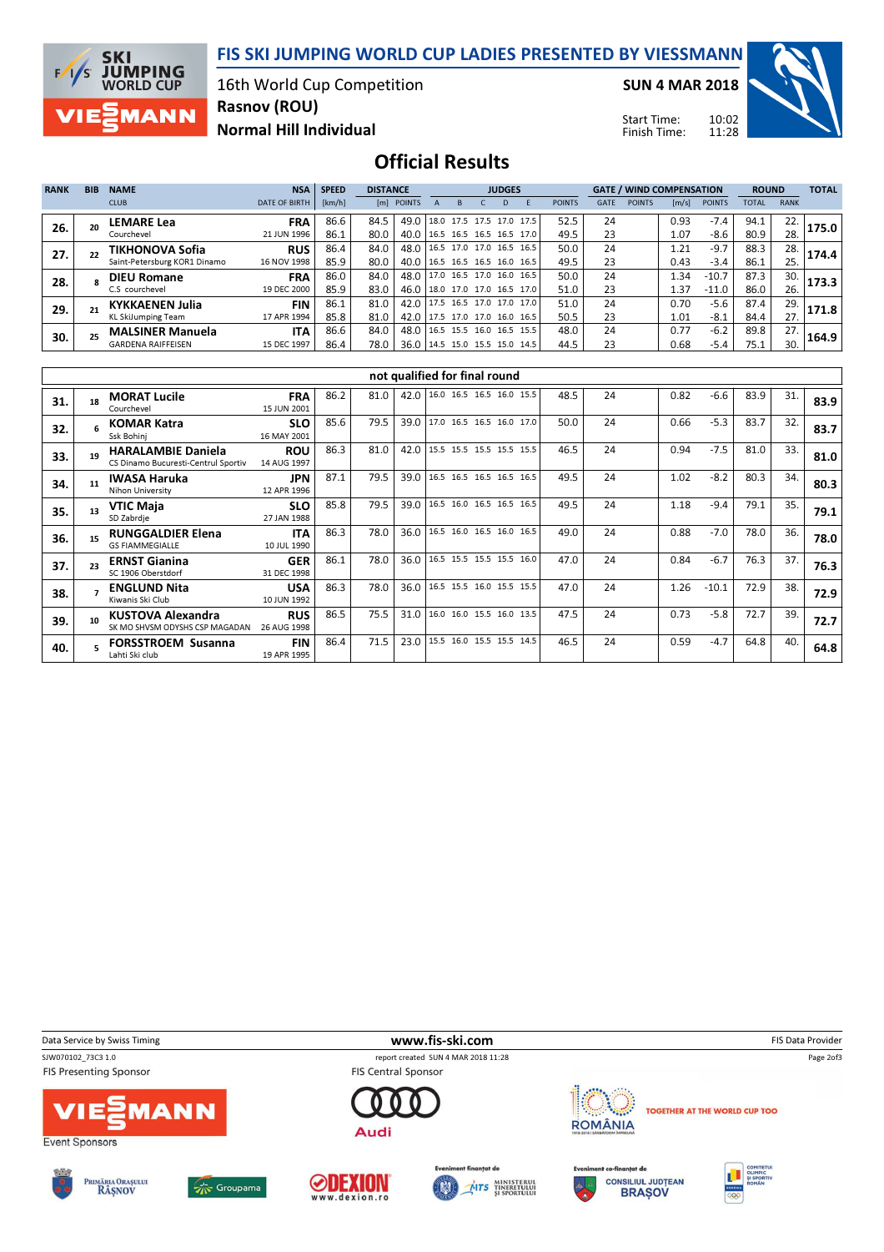FIS SKI JUMPING WORLD CUP LADIES PRESENTED BY VIESSMANN

16th World Cup Competition Rasnov (ROU)

SUN 4 MAR 2018

Start Time: Finish Time: 10:02 11:28



Normal Hill Individual

## Official Results

| <b>RANK</b> | <b>BIB</b> | <b>NAME</b>                  | <b>NSA</b>           | <b>SPEED</b> | <b>DISTANCE</b> |                                 |                          | <b>JUDGES</b> |  |              |                          |               | <b>GATE / WIND COMPENSATION</b> |               |       |               | <b>ROUND</b> |             | <b>TOTAL</b> |
|-------------|------------|------------------------------|----------------------|--------------|-----------------|---------------------------------|--------------------------|---------------|--|--------------|--------------------------|---------------|---------------------------------|---------------|-------|---------------|--------------|-------------|--------------|
|             |            | <b>CLUB</b>                  | <b>DATE OF BIRTH</b> | [km/h]       |                 | [m] POINTS                      |                          | <sub>B</sub>  |  | <sub>D</sub> |                          | <b>POINTS</b> | <b>GATE</b>                     | <b>POINTS</b> | [m/s] | <b>POINTS</b> | <b>TOTAL</b> | <b>RANK</b> |              |
| 26.         |            | LEMARE Lea                   | <b>FRA</b>           | 86.6         | 84.5            | 49.0                            |                          |               |  |              | 18.0 17.5 17.5 17.0 17.5 | 52.5          | 24                              |               | 0.93  | $-7.4$        | 94.1         | 22.         | 175.0        |
|             |            | Courchevel                   | 21 JUN 1996          | 86.1         | 80.0            | 40.0                            | 16.5 16.5 16.5 16.5 17.0 |               |  |              |                          | 49.5          | 23                              |               | 1.07  | $-8.6$        | 80.9         | 28.         |              |
| 27.         |            | TIKHONOVA Sofia              | <b>RUS</b>           | 86.4         | 84.0            | 48.0                            |                          |               |  |              | 16.5 17.0 17.0 16.5 16.5 | 50.0          | 24                              |               | 1.21  | $-9.7$        | 88.3         | 28.         | 174.4        |
|             |            | Saint-Petersburg KOR1 Dinamo | 16 NOV 1998          | 85.9         | 80.0            | 40.0   16.5 16.5 16.5 16.0 16.5 |                          |               |  |              |                          | 49.5          | 23                              |               | 0.43  | $-3.4$        | 86.1         | 25.         |              |
| 28.         |            | <b>DIEU Romane</b>           | <b>FRA</b>           | 86.0         | 84.0            | 48.0                            |                          |               |  |              | 17.0 16.5 17.0 16.0 16.5 | 50.0          | 24                              |               | . 34  | $-10.7$       | 87.3         | 30.         | 173.3        |
|             |            | C.S courchevel               | 19 DEC 2000          | 85.9         | 83.0            | 46.0 18.0 17.0 17.0 16.5 17.0   |                          |               |  |              |                          | 51.0          | 23                              |               | 1.37  | $-11.0$       | 86.0         | 26.         |              |
| 29.         |            | <b>KYKKAENEN Julia</b>       | FIN                  | 86.1         | 81.0            | 42.0 17.5 16.5 17.0 17.0 17.0   |                          |               |  |              |                          | 51.0          | 24                              |               | 0.70  | $-5.6$        | 87.4         | 29.         | 171.8        |
|             |            | <b>KL SkiJumping Team</b>    | 17 APR 1994          | 85.8         | 81.0            | 42.0 17.5 17.0 17.0 16.0 16.5   |                          |               |  |              |                          | 50.5          | 23                              |               | 1.01  | $-8.1$        | 84.4         | 27.         |              |
| 30.         |            | <b>MALSINER Manuela</b>      | <b>ITA</b>           | 86.6         | 84.0            | 48.0                            |                          |               |  |              | 16.5 15.5 16.0 16.5 15.5 | 48.0          | 24                              |               | 0.77  | $-6.2$        | 89.8         | 27.         | 164.9        |
|             |            | <b>GARDENA RAIFFEISEN</b>    | 15 DEC 1997          | 86.4         | 78.0            | 36.0   14.5 15.0 15.5 15.0 14.5 |                          |               |  |              |                          | 44.5          | 23                              |               | 0.68  | $-5.4$        | 75.1         | 30.         |              |

|     | not qualified for final round |                                                                  |                           |      |      |      |  |  |                          |      |    |      |         |      |     |      |
|-----|-------------------------------|------------------------------------------------------------------|---------------------------|------|------|------|--|--|--------------------------|------|----|------|---------|------|-----|------|
| 31. |                               | <b>MORAT Lucile</b><br>Courchevel                                | <b>FRA</b><br>15 JUN 2001 | 86.2 | 81.0 | 42.0 |  |  | 16.0 16.5 16.5 16.0 15.5 | 48.5 | 24 | 0.82 | $-6.6$  | 83.9 | 31. | 83.9 |
| 32. |                               | <b>KOMAR Katra</b><br>Ssk Bohini                                 | <b>SLO</b><br>16 MAY 2001 | 85.6 | 79.5 | 39.0 |  |  | 17.0 16.5 16.5 16.0 17.0 | 50.0 | 24 | 0.66 | $-5.3$  | 83.7 | 32. | 83.7 |
| 33. | 19                            | <b>HARALAMBIE Daniela</b><br>CS Dinamo Bucuresti-Centrul Sportiv | <b>ROU</b><br>14 AUG 1997 | 86.3 | 81.0 | 42.0 |  |  | 15.5 15.5 15.5 15.5 15.5 | 46.5 | 24 | 0.94 | $-7.5$  | 81.0 | 33. | 81.0 |
| 34. | 11                            | <b>IWASA Haruka</b><br><b>Nihon University</b>                   | JPN.<br>12 APR 1996       | 87.1 | 79.5 | 39.0 |  |  | 16.5 16.5 16.5 16.5 16.5 | 49.5 | 24 | 1.02 | $-8.2$  | 80.3 | 34. | 80.3 |
| 35. | 13                            | <b>VTIC Maja</b><br>SD Zabrdje                                   | <b>SLO</b><br>27 JAN 1988 | 85.8 | 79.5 | 39.0 |  |  | 16.5 16.0 16.5 16.5 16.5 | 49.5 | 24 | 1.18 | $-9.4$  | 79.1 | 35. | 79.1 |
| 36. | 15                            | <b>RUNGGALDIER Elena</b><br><b>GS FIAMMEGIALLE</b>               | <b>ITA</b><br>10 JUL 1990 | 86.3 | 78.0 | 36.0 |  |  | 16.5 16.0 16.5 16.0 16.5 | 49.0 | 24 | 0.88 | $-7.0$  | 78.0 | 36. | 78.0 |
| 37. |                               | <b>ERNST Gianina</b><br>SC 1906 Oberstdorf                       | <b>GER</b><br>31 DEC 1998 | 86.1 | 78.0 | 36.0 |  |  | 16.5 15.5 15.5 15.5 16.0 | 47.0 | 24 | 0.84 | $-6.7$  | 76.3 | 37. | 76.3 |
| 38. |                               | <b>ENGLUND Nita</b><br>Kiwanis Ski Club                          | <b>USA</b><br>10 JUN 1992 | 86.3 | 78.0 | 36.0 |  |  | 16.5 15.5 16.0 15.5 15.5 | 47.0 | 24 | 1.26 | $-10.1$ | 72.9 | 38. | 72.9 |
| 39. | 10                            | <b>KUSTOVA Alexandra</b><br>SK MO SHVSM ODYSHS CSP MAGADAN       | <b>RUS</b><br>26 AUG 1998 | 86.5 | 75.5 | 31.0 |  |  | 16.0 16.0 15.5 16.0 13.5 | 47.5 | 24 | 0.73 | $-5.8$  | 72.7 | 39. | 72.7 |
| 40. |                               | <b>FORSSTROEM Susanna</b><br>Lahti Ski club                      | <b>FIN</b><br>19 APR 1995 | 86.4 | 71.5 | 23.0 |  |  | 15.5 16.0 15.5 15.5 14.5 | 46.5 | 24 | 0.59 | $-4.7$  | 64.8 | 40. | 64.8 |

Data Service by Swiss Timing **EXECUTE:** The Service by Swiss Timing FIS Data Provider

**SKI** 

 $F/1/S$ 

**JUMPING**<br>WORLD CUP

**MANN** 

SJW070102\_73C3 1.0 report created SUN 4 MAR 2018 11:28 **FIS Presenting Sponsor** 









**FIS Central Sponsor** 

Audi





**ROMÂNIA** 

TOGETHER AT THE WORLD CUP TOO

Page 2of3